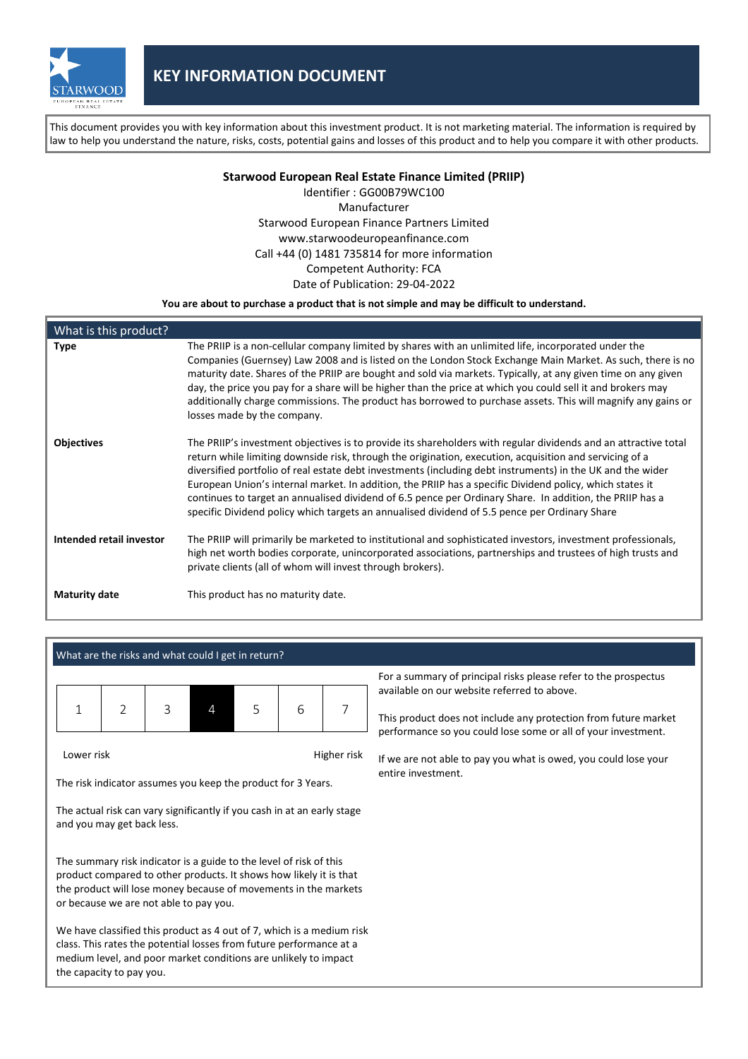

This document provides you with key information about this investment product. It is not marketing material. The information is required by law to help you understand the nature, risks, costs, potential gains and losses of this product and to help you compare it with other products.

**Starwood European Real Estate Finance Limited (PRIIP)**

Identifier : GG00B79WC100 Manufacturer Starwood European Finance Partners Limited www.starwoodeuropeanfinance.com Call +44 (0) 1481 735814 for more information Competent Authority: FCA Date of Publication: 29-04-2022

**You are about to purchase a product that is not simple and may be difficult to understand.**

| What is this product?    |                                                                                                                                                                                                                                                                                                                                                                                                                                                                                                                                                                                                                                                                   |
|--------------------------|-------------------------------------------------------------------------------------------------------------------------------------------------------------------------------------------------------------------------------------------------------------------------------------------------------------------------------------------------------------------------------------------------------------------------------------------------------------------------------------------------------------------------------------------------------------------------------------------------------------------------------------------------------------------|
| <b>Type</b>              | The PRIIP is a non-cellular company limited by shares with an unlimited life, incorporated under the<br>Companies (Guernsey) Law 2008 and is listed on the London Stock Exchange Main Market. As such, there is no<br>maturity date. Shares of the PRIIP are bought and sold via markets. Typically, at any given time on any given<br>day, the price you pay for a share will be higher than the price at which you could sell it and brokers may<br>additionally charge commissions. The product has borrowed to purchase assets. This will magnify any gains or<br>losses made by the company.                                                                 |
| <b>Objectives</b>        | The PRIIP's investment objectives is to provide its shareholders with regular dividends and an attractive total<br>return while limiting downside risk, through the origination, execution, acquisition and servicing of a<br>diversified portfolio of real estate debt investments (including debt instruments) in the UK and the wider<br>European Union's internal market. In addition, the PRIIP has a specific Dividend policy, which states it<br>continues to target an annualised dividend of 6.5 pence per Ordinary Share. In addition, the PRIIP has a<br>specific Dividend policy which targets an annualised dividend of 5.5 pence per Ordinary Share |
| Intended retail investor | The PRIIP will primarily be marketed to institutional and sophisticated investors, investment professionals,<br>high net worth bodies corporate, unincorporated associations, partnerships and trustees of high trusts and<br>private clients (all of whom will invest through brokers).                                                                                                                                                                                                                                                                                                                                                                          |
| <b>Maturity date</b>     | This product has no maturity date.                                                                                                                                                                                                                                                                                                                                                                                                                                                                                                                                                                                                                                |

| What are the risks and what could I get in return? |  |  |  |
|----------------------------------------------------|--|--|--|
|----------------------------------------------------|--|--|--|

|  |  | $-5$ $-1$ |  |
|--|--|-----------|--|
|  |  |           |  |

Lower risk **Higher risk** Higher risk

The risk indicator assumes you keep the product for 3 Years.

The actual risk can vary significantly if you cash in at an early stage and you may get back less.

The summary risk indicator is a guide to the level of risk of this product compared to other products. It shows how likely it is that the product will lose money because of movements in the markets or because we are not able to pay you.

We have classified this product as 4 out of 7, which is a medium risk class. This rates the potential losses from future performance at a medium level, and poor market conditions are unlikely to impact the capacity to pay you.

For a summary of principal risks please refer to the prospectus available on our website referred to above.

This product does not include any protection from future market performance so you could lose some or all of your investment.

If we are not able to pay you what is owed, you could lose your entire investment.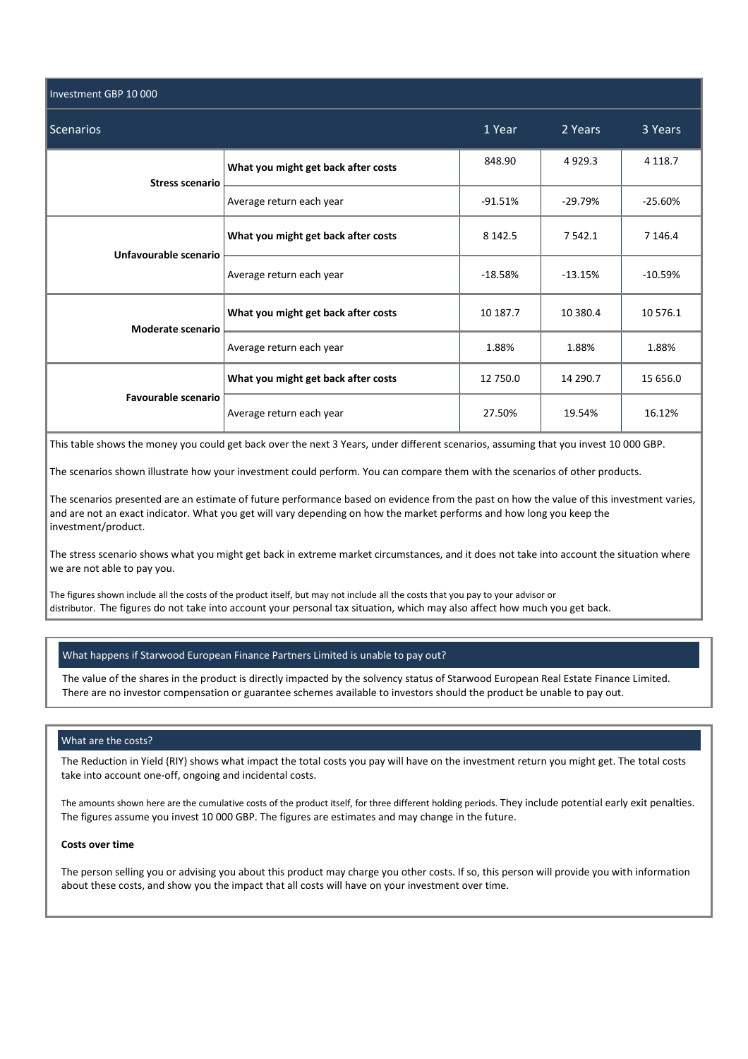| Investment GBP 10 000      |                                     |           |             |             |
|----------------------------|-------------------------------------|-----------|-------------|-------------|
| Scenarios                  | 1 Year                              | 2 Years   | 3 Years     |             |
| <b>Stress scenario</b>     | What you might get back after costs | 848.90    | 4 9 2 9 . 3 | 4 1 1 8 . 7 |
|                            | Average return each year            | $-91.51%$ | $-29.79\%$  | $-25.60\%$  |
| Unfavourable scenario      | What you might get back after costs | 8 142.5   | 7542.1      | 7 146.4     |
|                            | Average return each year            | $-18.58%$ | $-13.15%$   | $-10.59%$   |
| <b>Moderate scenario</b>   | What you might get back after costs | 10 187.7  | 10 380.4    | 10 576.1    |
|                            | Average return each year            | 1.88%     | 1.88%       | 1.88%       |
| <b>Favourable scenario</b> | What you might get back after costs | 12 750.0  | 14 290.7    | 15 656.0    |
|                            | Average return each year            | 27.50%    | 19.54%      | 16.12%      |

This table shows the money you could get back over the next 3 Years, under different scenarios, assuming that you invest 10 000 GBP.

The scenarios shown illustrate how your investment could perform. You can compare them with the scenarios of other products.

The scenarios presented are an estimate of future performance based on evidence from the past on how the value of this investment varies, and are not an exact indicator. What you get will vary depending on how the market performs and how long you keep the investment/product.

The stress scenario shows what you might get back in extreme market circumstances, and it does not take into account the situation where we are not able to pay you.

The figures shown include all the costs of the product itself, but may not include all the costs that you pay to your advisor or distributor. The figures do not take into account your personal tax situation, which may also affect how much you get back.

## What happens if Starwood European Finance Partners Limited is unable to pay out?

The value of the shares in the product is directly impacted by the solvency status of Starwood European Real Estate Finance Limited. There are no investor compensation or guarantee schemes available to investors should the product be unable to pay out.

## What are the costs?

The Reduction in Yield (RIY) shows what impact the total costs you pay will have on the investment return you might get. The total costs take into account one-off, ongoing and incidental costs.

The amounts shown here are the cumulative costs of the product itself, for three different holding periods. They include potential early exit penalties. The figures assume you invest 10 000 GBP. The figures are estimates and may change in the future.

# **Costs over time**

The person selling you or advising you about this product may charge you other costs. If so, this person will provide you with information about these costs, and show you the impact that all costs will have on your investment over time.